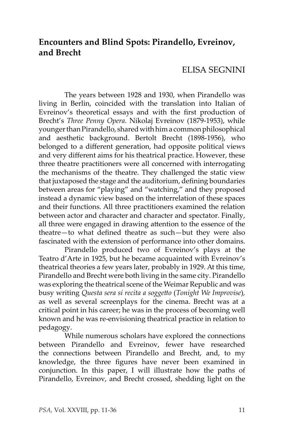# **Encounters and Blind Spots: Pirandello, Evreinov, and Brecht**

## ELISA SEGNINI

The years between 1928 and 1930, when Pirandello was living in Berlin, coincided with the translation into Italian of Evreinov's theoretical essays and with the first production of Brecht's *Three Penny Opera*. Nikolaj Evreinov (1879-1953), while younger than Pirandello, shared with him a common philosophical and aesthetic background. Bertolt Brecht (1898-1956), who belonged to a different generation, had opposite political views and very different aims for his theatrical practice. However, these three theatre practitioners were all concerned with interrogating the mechanisms of the theatre. They challenged the static view that juxtaposed the stage and the auditorium, defining boundaries between areas for "playing" and "watching," and they proposed instead a dynamic view based on the interrelation of these spaces and their functions. All three practitioners examined the relation between actor and character and character and spectator. Finally, all three were engaged in drawing attention to the essence of the theatre—to what defined theatre as such—but they were also fascinated with the extension of performance into other domains.

Pirandello produced two of Evreinov's plays at the Teatro d'Arte in 1925, but he became acquainted with Evreinov's theatrical theories a few years later, probably in 1929. At this time, Pirandello and Brecht were both living in the same city. Pirandello was exploring the theatrical scene of the Weimar Republic and was busy writing *Questa sera si recita a soggetto* (*Tonight We Improvise*)*,* as well as several screenplays for the cinema. Brecht was at a critical point in his career; he was in the process of becoming well known and he was re-envisioning theatrical practice in relation to pedagogy.

While numerous scholars have explored the connections between Pirandello and Evreinov, fewer have researched the connections between Pirandello and Brecht, and, to my knowledge, the three figures have never been examined in conjunction. In this paper, I will illustrate how the paths of Pirandello, Evreinov, and Brecht crossed, shedding light on the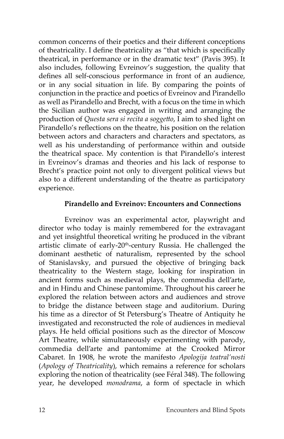common concerns of their poetics and their different conceptions of theatricality. I define theatricality as "that which is specifically theatrical, in performance or in the dramatic text" (Pavis 395). It also includes, following Evreinov's suggestion, the quality that defines all self-conscious performance in front of an audience, or in any social situation in life. By comparing the points of conjunction in the practice and poetics of Evreinov and Pirandello as well as Pirandello and Brecht, with a focus on the time in which the Sicilian author was engaged in writing and arranging the production of *Questa sera si recita a soggetto*, I aim to shed light on Pirandello's reflections on the theatre, his position on the relation between actors and characters and characters and spectators, as well as his understanding of performance within and outside the theatrical space. My contention is that Pirandello's interest in Evreinov's dramas and theories and his lack of response to Brecht's practice point not only to divergent political views but also to a different understanding of the theatre as participatory experience.

### **Pirandello and Evreinov: Encounters and Connections**

Evreinov was an experimental actor, playwright and director who today is mainly remembered for the extravagant and yet insightful theoretical writing he produced in the vibrant artistic climate of early-20<sup>th</sup>-century Russia. He challenged the dominant aesthetic of naturalism, represented by the school of Stanislavsky, and pursued the objective of bringing back theatricality to the Western stage, looking for inspiration in ancient forms such as medieval plays, the commedia dell'arte, and in Hindu and Chinese pantomime. Throughout his career he explored the relation between actors and audiences and strove to bridge the distance between stage and auditorium. During his time as a director of St Petersburg's Theatre of Antiquity he investigated and reconstructed the role of audiences in medieval plays. He held official positions such as the director of Moscow Art Theatre, while simultaneously experimenting with parody, commedia dell'arte and pantomime at the Crooked Mirror Cabaret. In 1908, he wrote the manifesto *Apologija teatral'nosti* (*Apology of Theatricality*), which remains a reference for scholars exploring the notion of theatricality (see Féral 348). The following year, he developed *monodrama*, a form of spectacle in which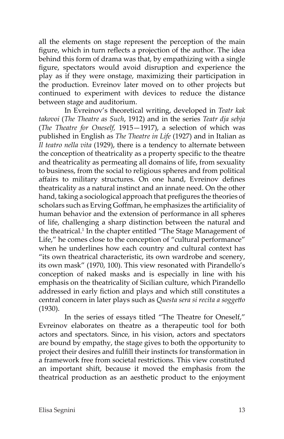all the elements on stage represent the perception of the main figure, which in turn reflects a projection of the author. The idea behind this form of drama was that, by empathizing with a single figure, spectators would avoid disruption and experience the play as if they were onstage, maximizing their participation in the production. Evreinov later moved on to other projects but continued to experiment with devices to reduce the distance between stage and auditorium.

In Evreinov's theoretical writing, developed in *Teatr kak takovoi* (*The Theatre as Such*, 1912) and in the series *Teatr dja sebja* (*The Theatre for Oneself,* 1915—1917), a selection of which was published in English as *The Theatre in Life* (1927) and in Italian as *Il teatro nella vita* (1929), there is a tendency to alternate between the conception of theatricality as a property specific to the theatre and theatricality as permeating all domains of life, from sexuality to business, from the social to religious spheres and from political affairs to military structures. On one hand, Evreinov defines theatricality as a natural instinct and an innate need. On the other hand, taking a sociological approach that prefigures the theories of scholars such as Erving Goffman, he emphasizes the artificiality of human behavior and the extension of performance in all spheres of life, challenging a sharp distinction between the natural and the theatrical.<sup>1</sup> In the chapter entitled "The Stage Management of Life," he comes close to the conception of "cultural performance" when he underlines how each country and cultural context has "its own theatrical characteristic, its own wardrobe and scenery, its own mask" (1970, 100). This view resonated with Pirandello's conception of naked masks and is especially in line with his emphasis on the theatricality of Sicilian culture, which Pirandello addressed in early fiction and plays and which still constitutes a central concern in later plays such as *Questa sera si recita a soggetto* (1930).

In the series of essays titled "The Theatre for Oneself," Evreinov elaborates on theatre as a therapeutic tool for both actors and spectators. Since, in his vision, actors and spectators are bound by empathy, the stage gives to both the opportunity to project their desires and fulfill their instincts for transformation in a framework free from societal restrictions. This view constituted an important shift, because it moved the emphasis from the theatrical production as an aesthetic product to the enjoyment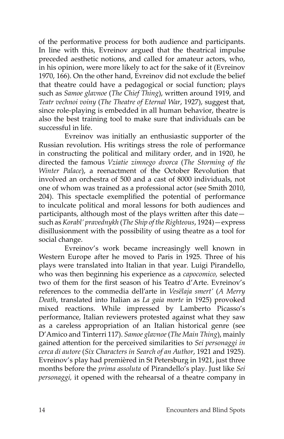of the performative process for both audience and participants. In line with this, Evreinov argued that the theatrical impulse preceded aesthetic notions, and called for amateur actors, who, in his opinion, were more likely to act for the sake of it (Evreinov 1970, 166). On the other hand, Evreinov did not exclude the belief that theatre could have a pedagogical or social function; plays such as *Samoe glavnoe* (*The Chief Thing*), written around 1919, and *Teatr vechnoi voiny* (*The Theatre of Eternal War*, 1927), suggest that, since role-playing is embedded in all human behavior, theatre is also the best training tool to make sure that individuals can be successful in life.

Evreinov was initially an enthusiastic supporter of the Russian revolution. His writings stress the role of performance in constructing the political and military order, and in 1920, he directed the famous *Vziatie zimnego dvorca* (*The Storming of the Winter Palace*), a reenactment of the October Revolution that involved an orchestra of 500 and a cast of 8000 individuals, not one of whom was trained as a professional actor (see Smith 2010, 204). This spectacle exemplified the potential of performance to inculcate political and moral lessons for both audiences and participants, although most of the plays written after this date such as *Korabl' pravednykh* (*The Ship of the Righteous*, 1924)—express disillusionment with the possibility of using theatre as a tool for social change.

Evreinov's work became increasingly well known in Western Europe after he moved to Paris in 1925. Three of his plays were translated into Italian in that year. Luigi Pirandello, who was then beginning his experience as a *capocomico,* selected two of them for the first season of his Teatro d'Arte. Evreinov's references to the commedia dell'arte in *Vesëlaja smert'* (*A Merry Death*, translated into Italian as *La gaia morte* in 1925) provoked mixed reactions. While impressed by Lamberto Picasso's performance, Italian reviewers protested against what they saw as a careless appropriation of an Italian historical genre (see D'Amico and Tinterri 117). *Samoe glavnoe* (*The Main Thing*), mainly gained attention for the perceived similarities to *Sei personaggi in cerca di autore* (*Six Characters in Search of an Author*, 1921 and 1925)*.* Evreinov's play had premièred in St Petersburg in 1921, just three months before the *prima assoluta* of Pirandello's play. Just like *Sei personaggi,* it opened with the rehearsal of a theatre company in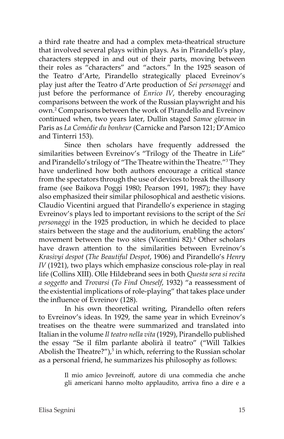a third rate theatre and had a complex meta-theatrical structure that involved several plays within plays. As in Pirandello's play, characters stepped in and out of their parts, moving between their roles as "characters" and "actors." In the 1925 season of the Teatro d'Arte, Pirandello strategically placed Evreinov's play just after the Teatro d'Arte production of *Sei personaggi* and just before the performance of *Enrico IV*, thereby encouraging comparisons between the work of the Russian playwright and his own.2 Comparisons between the work of Pirandello and Evreinov continued when, two years later, Dullin staged *Samoe glavnoe* in Paris as *La Comédie du bonheur* (Carnicke and Parson 121; D'Amico and Tinterri 153).

Since then scholars have frequently addressed the similarities between Evreinov's "Trilogy of the Theatre in Life" and Pirandello's trilogy of "The Theatre within the Theatre."3 They have underlined how both authors encourage a critical stance from the spectators through the use of devices to break the illusory frame (see Baikova Poggi 1980; Pearson 1991, 1987); they have also emphasized their similar philosophical and aesthetic visions. Claudio Vicentini argued that Pirandello's experience in staging Evreinov's plays led to important revisions to the script of the *Sei personaggi* in the 1925 production, in which he decided to place stairs between the stage and the auditorium, enabling the actors' movement between the two sites (Vicentini 82).<sup>4</sup> Other scholars have drawn attention to the similarities between Evreinov's *Krasivyi despot* (*The Beautiful Despot*, 1906) and Pirandello's *Henry IV* (1921), two plays which emphasize conscious role-play in real life (Collins XIII). Olle Hildebrand sees in both *Questa sera si recita a soggetto* and *Trovarsi* (*To Find Oneself*, 1932) "a reassessment of the existential implications of role-playing" that takes place under the influence of Evreinov (128).

In his own theoretical writing, Pirandello often refers to Evreinov's ideas. In 1929, the same year in which Evreinov's treatises on the theatre were summarized and translated into Italian in the volume *Il teatro nella vita* (1929), Pirandello published the essay "Se il film parlante abolirà il teatro" ("Will Talkies Abolish the Theatre?"),<sup>5</sup> in which, referring to the Russian scholar as a personal friend, he summarizes his philosophy as follows:

> Il mio amico Jevreinoff, autore di una commedia che anche gli americani hanno molto applaudito, arriva fino a dire e a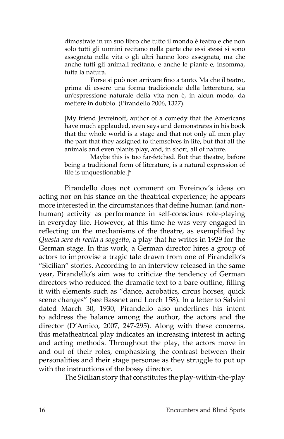dimostrate in un suo libro che tutto il mondo è teatro e che non solo tutti gli uomini recitano nella parte che essi stessi si sono assegnata nella vita o gli altri hanno loro assegnata, ma che anche tutti gli animali recitano, e anche le piante e, insomma, tutta la natura.

Forse si può non arrivare fino a tanto. Ma che il teatro, prima di essere una forma tradizionale della letteratura, sia un'espressione naturale della vita non è, in alcun modo, da mettere in dubbio. (Pirandello 2006, 1327).

[My friend Jevreinoff, author of a comedy that the Americans have much applauded, even says and demonstrates in his book that the whole world is a stage and that not only all men play the part that they assigned to themselves in life, but that all the animals and even plants play, and, in short, all of nature.

Maybe this is too far-fetched. But that theatre, before being a traditional form of literature, is a natural expression of life is unquestionable.] $<sup>6</sup>$ </sup>

Pirandello does not comment on Evreinov's ideas on acting nor on his stance on the theatrical experience; he appears more interested in the circumstances that define human (and nonhuman) activity as performance in self-conscious role-playing in everyday life. However, at this time he was very engaged in reflecting on the mechanisms of the theatre, as exemplified by *Questa sera di recita a soggetto*, a play that he writes in 1929 for the German stage. In this work, a German director hires a group of actors to improvise a tragic tale drawn from one of Pirandello's "Sicilian" stories. According to an interview released in the same year, Pirandello's aim was to criticize the tendency of German directors who reduced the dramatic text to a bare outline, filling it with elements such as "dance, acrobatics, circus horses, quick scene changes" (see Bassnet and Lorch 158). In a letter to Salvini dated March 30, 1930, Pirandello also underlines his intent to address the balance among the author, the actors and the director (D'Amico, 2007, 247-295). Along with these concerns, this metatheatrical play indicates an increasing interest in acting and acting methods. Throughout the play, the actors move in and out of their roles, emphasizing the contrast between their personalities and their stage personae as they struggle to put up with the instructions of the bossy director.

The Sicilian story that constitutes the play-within-the-play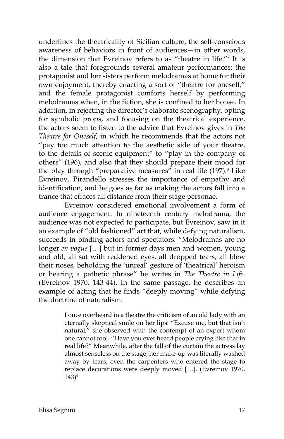underlines the theatricality of Sicilian culture, the self-conscious awareness of behaviors in front of audiences—in other words, the dimension that Evreinov refers to as "theatre in life."7 It is also a tale that foregrounds several amateur performances: the protagonist and her sisters perform melodramas at home for their own enjoyment, thereby enacting a sort of "theatre for oneself," and the female protagonist comforts herself by performing melodramas when, in the fiction, she is confined to her house. In addition, in rejecting the director's elaborate scenography, opting for symbolic props, and focusing on the theatrical experience, the actors seem to listen to the advice that Evreinov gives in *The Theatre for Oneself*, in which he recommends that the actors not "pay too much attention to the aesthetic side of your theatre, to the details of scenic equipment" to "play in the company of others" (196), and also that they should prepare their mood for the play through "preparative measures" in real life (197).<sup>8</sup> Like Evreinov, Pirandello stresses the importance of empathy and identification, and he goes as far as making the actors fall into a trance that effaces all distance from their stage personae.

Evreinov considered emotional involvement a form of audience engagement. In nineteenth century melodrama, the audience was not expected to participate, but Evreinov, saw in it an example of "old fashioned" art that, while defying naturalism, succeeds in binding actors and spectators: "Melodramas are no longer *en vogue* […] but in former days men and women, young and old, all sat with reddened eyes, all dropped tears, all blew their noses, beholding the 'unreal' gesture of 'theatrical' heroism or hearing a pathetic phrase" he writes in *The Theatre in Life.* (Evreinov 1970, 143-44). In the same passage, he describes an example of acting that he finds "deeply moving" while defying the doctrine of naturalism:

> I once overheard in a theatre the criticism of an old lady with an eternally skeptical smile on her lips: "Excuse me, but that isn't natural," she observed with the contempt of an expert whom one cannot fool. "Have you ever heard people crying like that in real life?" Meanwhile, after the fall of the curtain the actress lay almost senseless on the stage; her make-up was literally washed away by tears; even the carpenters who entered the stage to replace decorations were deeply moved […]. (Evreinov 1970,  $143)$ <sup>9</sup>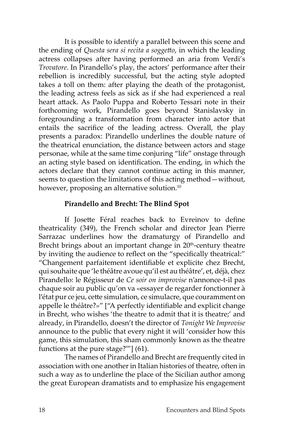It is possible to identify a parallel between this scene and the ending of *Questa sera si recita a soggetto*, in which the leading actress collapses after having performed an aria from Verdi's *Trovatore*. In Pirandello's play, the actors' performance after their rebellion is incredibly successful, but the acting style adopted takes a toll on them: after playing the death of the protagonist, the leading actress feels as sick as if she had experienced a real heart attack. As Paolo Puppa and Roberto Tessari note in their forthcoming work, Pirandello goes beyond Stanislavsky in foregrounding a transformation from character into actor that entails the sacrifice of the leading actress. Overall, the play presents a paradox: Pirandello underlines the double nature of the theatrical enunciation, the distance between actors and stage personae, while at the same time conjuring "life" onstage through an acting style based on identification. The ending, in which the actors declare that they cannot continue acting in this manner, seems to question the limitations of this acting method—without, however, proposing an alternative solution.<sup>10</sup>

#### **Pirandello and Brecht: The Blind Spot**

If Josette Féral reaches back to Evreinov to define theatricality (349), the French scholar and director Jean Pierre Sarrazac underlines how the dramaturgy of Pirandello and Brecht brings about an important change in 20<sup>th</sup>-century theatre by inviting the audience to reflect on the "specifically theatrical:" "Changement parfaitement identifiable et explicite chez Brecht, qui souhaite que 'le théâtre avoue qu'il est au théâtre', et, déjà, chez Pirandello: le Régisseur de *Ce soir on improvise* n'annonce-t-il pas chaque soir au public qu'on va «essayer de regarder fonctionner à l'état pur ce jeu, cette simulation, ce simulacre, que couramment on appelle le théâtre?»" ["A perfectly identifiable and explicit change in Brecht, who wishes 'the theatre to admit that it is theatre;' and already, in Pirandello, doesn't the director of *Tonight We Improvise* announce to the public that every night it will 'consider how this game, this simulation, this sham commonly known as the theatre functions at the pure stage?'"] (61).

The names of Pirandello and Brecht are frequently cited in association with one another in Italian histories of theatre, often in such a way as to underline the place of the Sicilian author among the great European dramatists and to emphasize his engagement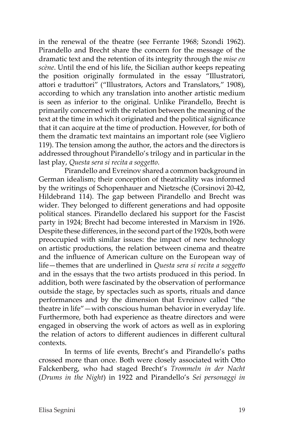in the renewal of the theatre (see Ferrante 1968; Szondi 1962). Pirandello and Brecht share the concern for the message of the dramatic text and the retention of its integrity through the *mise en scène*. Until the end of his life, the Sicilian author keeps repeating the position originally formulated in the essay "Illustratori, attori e traduttori" ("Illustrators, Actors and Translators," 1908), according to which any translation into another artistic medium is seen as inferior to the original. Unlike Pirandello, Brecht is primarily concerned with the relation between the meaning of the text at the time in which it originated and the political significance that it can acquire at the time of production. However, for both of them the dramatic text maintains an important role (see Vigliero 119). The tension among the author, the actors and the directors is addressed throughout Pirandello's trilogy and in particular in the last play, *Questa sera si recita a soggetto*.

Pirandello and Evreinov shared a common background in German idealism; their conception of theatricality was informed by the writings of Schopenhauer and Nietzsche (Corsinovi 20-42, Hildebrand 114). The gap between Pirandello and Brecht was wider. They belonged to different generations and had opposite political stances. Pirandello declared his support for the Fascist party in 1924; Brecht had become interested in Marxism in 1926. Despite these differences, in the second part of the 1920s, both were preoccupied with similar issues: the impact of new technology on artistic productions, the relation between cinema and theatre and the influence of American culture on the European way of life—themes that are underlined in *Questa sera si recita a soggetto* and in the essays that the two artists produced in this period. In addition, both were fascinated by the observation of performance outside the stage, by spectacles such as sports, rituals and dance performances and by the dimension that Evreinov called "the theatre in life"—with conscious human behavior in everyday life. Furthermore, both had experience as theatre directors and were engaged in observing the work of actors as well as in exploring the relation of actors to different audiences in different cultural contexts.

In terms of life events, Brecht's and Pirandello's paths crossed more than once. Both were closely associated with Otto Falckenberg, who had staged Brecht's *Trommeln in der Nacht*  (*Drums in the Night*) in 1922 and Pirandello's *Sei personaggi in*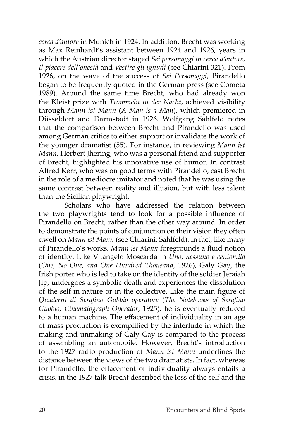*cerca d'autore* in Munich in 1924. In addition, Brecht was working as Max Reinhardt's assistant between 1924 and 1926, years in which the Austrian director staged *Sei personaggi in cerca d'autore*, *Il piacere dell'onestà* and *Vestire gli ignudi* (see Chiarini 321). From 1926, on the wave of the success of *Sei Personaggi*, Pirandello began to be frequently quoted in the German press (see Cometa 1989). Around the same time Brecht, who had already won the Kleist prize with *Trommeln in der Nacht*, achieved visibility through *Mann ist Mann* (*A Man is a Man*), which premiered in Düsseldorf and Darmstadt in 1926. Wolfgang Sahlfeld notes that the comparison between Brecht and Pirandello was used among German critics to either support or invalidate the work of the younger dramatist (55). For instance, in reviewing *Mann ist Mann*, Herbert Jhering, who was a personal friend and supporter of Brecht, highlighted his innovative use of humor. In contrast Alfred Kerr, who was on good terms with Pirandello, cast Brecht in the role of a mediocre imitator and noted that he was using the same contrast between reality and illusion, but with less talent than the Sicilian playwright.

Scholars who have addressed the relation between the two playwrights tend to look for a possible influence of Pirandello on Brecht, rather than the other way around. In order to demonstrate the points of conjunction on their vision they often dwell on *Mann ist Mann* (see Chiarini; Sahlfeld). In fact, like many of Pirandello's works, *Mann ist Mann* foregrounds a fluid notion of identity. Like Vitangelo Moscarda in *Uno, nessuno e centomila*  (*One, No One, and One Hundred Thousand*, 1926), Galy Gay, the Irish porter who is led to take on the identity of the soldier Jeraiah Jip, undergoes a symbolic death and experiences the dissolution of the self in nature or in the collective. Like the main figure of *Quaderni di Serafino Gubbio operatore* (*The Notebooks of Serafino Gubbio, Cinematograph Operator*, 1925), he is eventually reduced to a human machine. The effacement of individuality in an age of mass production is exemplified by the interlude in which the making and unmaking of Galy Gay is compared to the process of assembling an automobile. However, Brecht's introduction to the 1927 radio production of *Mann ist Mann* underlines the distance between the views of the two dramatists. In fact, whereas for Pirandello, the effacement of individuality always entails a crisis, in the 1927 talk Brecht described the loss of the self and the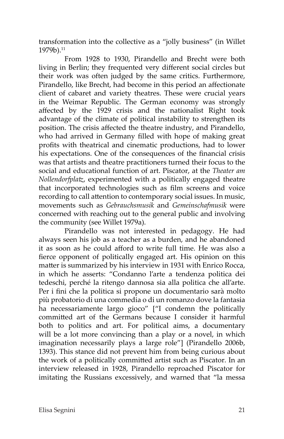transformation into the collective as a "jolly business" (in Willet 1979b).<sup>11</sup>

From 1928 to 1930, Pirandello and Brecht were both living in Berlin; they frequented very different social circles but their work was often judged by the same critics. Furthermore, Pirandello, like Brecht, had become in this period an affectionate client of cabaret and variety theatres. These were crucial years in the Weimar Republic. The German economy was strongly affected by the 1929 crisis and the nationalist Right took advantage of the climate of political instability to strengthen its position. The crisis affected the theatre industry, and Pirandello, who had arrived in Germany filled with hope of making great profits with theatrical and cinematic productions, had to lower his expectations. One of the consequences of the financial crisis was that artists and theatre practitioners turned their focus to the social and educational function of art. Piscator, at the *Theater am Nollendorfplatz*, experimented with a politically engaged theatre that incorporated technologies such as film screens and voice recording to call attention to contemporary social issues. In music, movements such as *Gebrauchsmusik* and *Gemeinschafmusik* were concerned with reaching out to the general public and involving the community (see Willet 1979a).

Pirandello was not interested in pedagogy. He had always seen his job as a teacher as a burden, and he abandoned it as soon as he could afford to write full time. He was also a fierce opponent of politically engaged art. His opinion on this matter is summarized by his interview in 1931 with Enrico Rocca, in which he asserts: "Condanno l'arte a tendenza politica dei tedeschi, perché la ritengo dannosa sia alla politica che all'arte. Per i fini che la politica si propone un documentario sarà molto più probatorio di una commedia o di un romanzo dove la fantasia ha necessariamente largo gioco" ["I condemn the politically committed art of the Germans because I consider it harmful both to politics and art. For political aims, a documentary will be a lot more convincing than a play or a novel, in which imagination necessarily plays a large role"] (Pirandello 2006b, 1393). This stance did not prevent him from being curious about the work of a politically committed artist such as Piscator. In an interview released in 1928, Pirandello reproached Piscator for imitating the Russians excessively, and warned that "la messa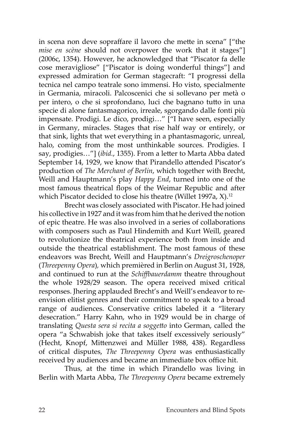in scena non deve sopraffare il lavoro che mette in scena" ["the *mise en scène* should not overpower the work that it stages"] (2006c, 1354). However, he acknowledged that "Piscator fa delle cose meravigliose" ["Piscator is doing wonderful things"] and expressed admiration for German stagecraft: "I progressi della tecnica nel campo teatrale sono immensi. Ho visto, specialmente in Germania, miracoli. Palcoscenici che si sollevano per metà o per intero, o che si sprofondano, luci che bagnano tutto in una specie di alone fantasmagorico, irreale, sgorgando dalle fonti più impensate. Prodigi. Le dico, prodigi…" ["I have seen, especially in Germany, miracles. Stages that rise half way or entirely, or that sink, lights that wet everything in a phantasmagoric, unreal, halo, coming from the most unthinkable sources. Prodigies. I say, prodigies…"] (*ibid.*, 1355). From a letter to Marta Abba dated September 14, 1929, we know that Pirandello attended Piscator's production of *The Merchant of Berlin*, which together with Brecht, Weill and Hauptmann's play *Happy End*, turned into one of the most famous theatrical flops of the Weimar Republic and after which Piscator decided to close his theatre (Willet 1997a, X).<sup>12</sup>

Brecht was closely associated with Piscator. He had joined his collective in 1927 and it was from him that he derived the notion of epic theatre. He was also involved in a series of collaborations with composers such as Paul Hindemith and Kurt Weill, geared to revolutionize the theatrical experience both from inside and outside the theatrical establishment. The most famous of these endeavors was Brecht, Weill and Hauptmann's *Dreigroschenoper*  (*Threepenny Opera*)*,* which premièred in Berlin on August 31, 1928, and continued to run at the *Schiffbauerdamm* theatre throughout the whole 1928/29 season. The opera received mixed critical responses. Jhering applauded Brecht's and Weill's endeavor to reenvision elitist genres and their commitment to speak to a broad range of audiences. Conservative critics labeled it a "literary desecration." Harry Kahn, who in 1929 would be in charge of translating *Questa sera si recita a soggetto* into German, called the opera "a Schwabish joke that takes itself excessively seriously" (Hecht, Knopf, Mittenzwei and Müller 1988, 438). Regardless of critical disputes, *The Threepenny Opera* was enthusiastically received by audiences and became an immediate box office hit.

Thus, at the time in which Pirandello was living in Berlin with Marta Abba, *The Threepenny Opera* became extremely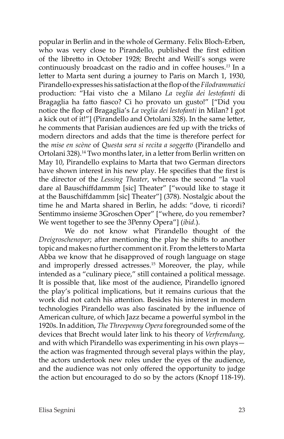popular in Berlin and in the whole of Germany. Felix Bloch-Erben, who was very close to Pirandello, published the first edition of the libretto in October 1928*;* Brecht and Weill's songs were continuously broadcast on the radio and in coffee houses.*<sup>13</sup>* In a letter to Marta sent during a journey to Paris on March 1, 1930, Pirandello expresses his satisfaction at the flop of the *Filodrammatici* production: "Hai visto che a Milano *La veglia dei lestofanti* di Bragaglia ha fatto fiasco? Ci ho provato un gusto!" ["Did you notice the flop of Bragaglia's *La veglia dei lestofanti* in Milan? I got a kick out of it!"] (Pirandello and Ortolani 328). In the same letter, he comments that Parisian audiences are fed up with the tricks of modern directors and adds that the time is therefore perfect for the *mise en scène* of *Questa sera si recita a soggetto* (Pirandello and Ortolani 328).<sup>14</sup> Two months later, in a letter from Berlin written on May 10, Pirandello explains to Marta that two German directors have shown interest in his new play. He specifies that the first is the director of the *Lessing Theater*, whereas the second "la vuol dare al Bauschiffdammm [sic] Theater" ["would like to stage it at the Bauschiffdammm [sic] Theater"] (378). Nostalgic about the time he and Marta shared in Berlin, he adds: "dove, ti ricordi? Sentimmo insieme 3Groschen Oper" ["where, do you remember? We went together to see the 3Penny Opera"] (*ibid.*).

We do not know what Pirandello thought of the *Dreigroschenoper*; after mentioning the play he shifts to another topic and makes no further comment on it. From the letters to Marta Abba we know that he disapproved of rough language on stage and improperly dressed actresses.<sup>15</sup> Moreover, the play, while intended as a "culinary piece," still contained a political message. It is possible that, like most of the audience, Pirandello ignored the play's political implications, but it remains curious that the work did not catch his attention. Besides his interest in modern technologies Pirandello was also fascinated by the influence of American culture, of which Jazz became a powerful symbol in the 1920s. In addition, *The Threepenny Opera* foregrounded some of the devices that Brecht would later link to his theory of *Verfremdung,* and with which Pirandello was experimenting in his own plays the action was fragmented through several plays within the play, the actors undertook new roles under the eyes of the audience, and the audience was not only offered the opportunity to judge the action but encouraged to do so by the actors (Knopf 118-19).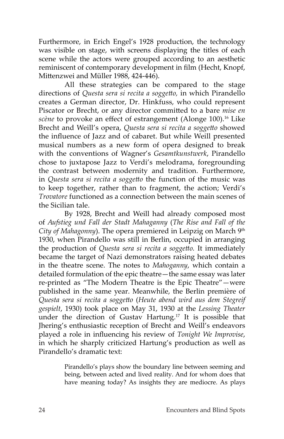Furthermore, in Erich Engel's 1928 production, the technology was visible on stage, with screens displaying the titles of each scene while the actors were grouped according to an aesthetic reminiscent of contemporary development in film (Hecht, Knopf, Mittenzwei and Müller 1988, 424-446).

All these strategies can be compared to the stage directions of *Questa sera si recita a soggetto,* in which Pirandello creates a German director, Dr. Hinkfuss, who could represent Piscator or Brecht, or any director committed to a bare *mise en scène* to provoke an effect of estrangement (Alonge 100).<sup>16</sup> Like Brecht and Weill's opera, *Questa sera si recita a soggetto* showed the influence of Jazz and of cabaret. But while Weill presented musical numbers as a new form of opera designed to break with the conventions of Wagner's *Gesamtkunstwerk*, Pirandello chose to juxtapose Jazz to Verdi's melodrama, foregrounding the contrast between modernity and tradition. Furthermore, in *Questa sera si recita a soggetto* the function of the music was to keep together, rather than to fragment, the action; Verdi's *Trovatore* functioned as a connection between the main scenes of the Sicilian tale.

By 1928, Brecht and Weill had already composed most of *Aufstieg und Fall der Stadt Mahaganny* (*The Rise and Fall of the*  City of Mahagonny). The opera premiered in Leipzig on March 9<sup>th</sup> 1930, when Pirandello was still in Berlin, occupied in arranging the production of *Questa sera si recita a soggetto.* It immediately became the target of Nazi demonstrators raising heated debates in the theatre scene. The notes to *Mahoganny*, which contain a detailed formulation of the epic theatre—the same essay was later re-printed as "The Modern Theatre is the Epic Theatre"—were published in the same year. Meanwhile, the Berlin première of *Questa sera si recita a soggetto* (*Heute abend wird aus dem Stegreif gespielt*, 1930) took place on May 31, 1930 at the *Lessing Theater* under the direction of Gustav Hartung.17 It is possible that Jhering's enthusiastic reception of Brecht and Weill's endeavors played a role in influencing his review of *Tonight We Improvise*, in which he sharply criticized Hartung's production as well as Pirandello's dramatic text:

> Pirandello's plays show the boundary line between seeming and being, between acted and lived reality. And for whom does that have meaning today? As insights they are mediocre. As plays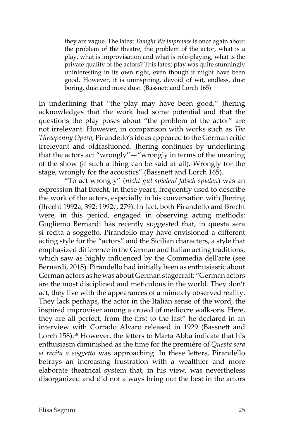they are vague. The latest *Tonight We Improvise* is once again about the problem of the theatre, the problem of the actor, what is a play, what is improvisation and what is role-playing, what is the private quality of the actors? This latest play was quite stunningly uninteresting in its own right, even though it might have been good. However, it is uninspiring, devoid of wit, endless, dust boring, dust and more dust. (Bassnett and Lorch 165)

In underlining that "the play may have been good," Jhering acknowledges that the work had some potential and that the questions the play poses about "the problem of the actor" are not irrelevant. However, in comparison with works such as *The Threepenny Opera*, Pirandello's ideas appeared to the German critic irrelevant and oldfashioned. Jhering continues by underlining that the actors act "wrongly"—"wrongly in terms of the meaning of the show (if such a thing can be said at all). Wrongly for the stage, wrongly for the acoustics" (Bassnett and Lorch 165).

"To act wrongly" (*nicht gut spielen/ falsch spielen*) was an expression that Brecht, in these years, frequently used to describe the work of the actors, especially in his conversation with Jhering (Brecht 1992a, 392; 1992c, 279). In fact, both Pirandello and Brecht were, in this period, engaged in observing acting methods: Gugliemo Bernardi has recently suggested that, in questa sera si recita a soggetto, Pirandello may have envisioned a different acting style for the "actors" and the Sicilian characters, a style that emphasized difference in the German and Italian acting traditions, which saw as highly influenced by the Commedia dell'arte (see Bernardi, 2015). Pirandello had initially been as enthusiastic about German actors as he was about German stagecraft: "German actors are the most disciplined and meticulous in the world. They don't act, they live with the appearances of a minutely observed reality. They lack perhaps, the actor in the Italian sense of the word, the inspired improviser among a crowd of mediocre walk-ons. Here, they are all perfect, from the first to the last" he declared in an interview with Corrado Alvaro released in 1929 (Bassnett and Lorch 158).<sup>18</sup> However, the letters to Marta Abba indicate that his enthusiasm diminished as the time for the première of *Questa sera si recita a soggetto* was approaching. In these letters, Pirandello betrays an increasing frustration with a wealthier and more elaborate theatrical system that, in his view, was nevertheless disorganized and did not always bring out the best in the actors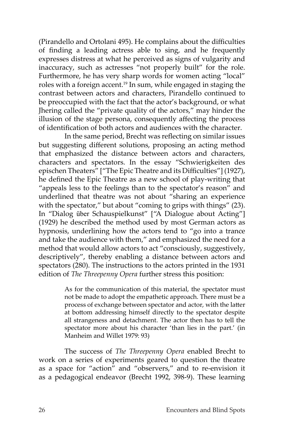(Pirandello and Ortolani 495). He complains about the difficulties of finding a leading actress able to sing, and he frequently expresses distress at what he perceived as signs of vulgarity and inaccuracy, such as actresses "not properly built" for the role. Furthermore, he has very sharp words for women acting "local" roles with a foreign accent.<sup>19</sup> In sum, while engaged in staging the contrast between actors and characters, Pirandello continued to be preoccupied with the fact that the actor's background, or what Jhering called the "private quality of the actors," may hinder the illusion of the stage persona, consequently affecting the process of identification of both actors and audiences with the character.

In the same period, Brecht was reflecting on similar issues but suggesting different solutions, proposing an acting method that emphasized the distance between actors and characters, characters and spectators. In the essay "Schwierigkeiten des epischen Theaters" ["The Epic Theatre and its Difficulties"] (1927), he defined the Epic Theatre as a new school of play-writing that "appeals less to the feelings than to the spectator's reason" and underlined that theatre was not about "sharing an experience with the spectator," but about "coming to grips with things" (23). In "Dialog über Schauspielkunst" ["A Dialogue about Acting"] (1929) he described the method used by most German actors as hypnosis, underlining how the actors tend to "go into a trance and take the audience with them," and emphasized the need for a method that would allow actors to act "consciously, suggestively, descriptively", thereby enabling a distance between actors and spectators (280). The instructions to the actors printed in the 1931 edition of *The Threepenny Opera* further stress this position:

> As for the communication of this material, the spectator must not be made to adopt the empathetic approach. There must be a process of exchange between spectator and actor, with the latter at bottom addressing himself directly to the spectator despite all strangeness and detachment. The actor then has to tell the spectator more about his character 'than lies in the part.' (in Manheim and Willet 1979: 93)

The success of *The Threepenny Opera* enabled Brecht to work on a series of experiments geared to question the theatre as a space for "action" and "observers," and to re-envision it as a pedagogical endeavor (Brecht 1992, 398-9). These learning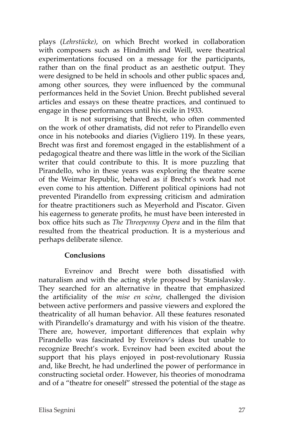plays (*Lehrstücke)*, on which Brecht worked in collaboration with composers such as Hindmith and Weill, were theatrical experimentations focused on a message for the participants, rather than on the final product as an aesthetic output. They were designed to be held in schools and other public spaces and, among other sources, they were influenced by the communal performances held in the Soviet Union. Brecht published several articles and essays on these theatre practices*,* and continued to engage in these performances until his exile in 1933.

It is not surprising that Brecht, who often commented on the work of other dramatists, did not refer to Pirandello even once in his notebooks and diaries (Vigliero 119). In these years, Brecht was first and foremost engaged in the establishment of a pedagogical theatre and there was little in the work of the Sicilian writer that could contribute to this. It is more puzzling that Pirandello, who in these years was exploring the theatre scene of the Weimar Republic, behaved as if Brecht's work had not even come to his attention. Different political opinions had not prevented Pirandello from expressing criticism and admiration for theatre practitioners such as Meyerhold and Piscator. Given his eagerness to generate profits, he must have been interested in box office hits such as *The Threepenny Opera* and in the film that resulted from the theatrical production*.* It is a mysterious and perhaps deliberate silence.

### **Conclusions**

Evreinov and Brecht were both dissatisfied with naturalism and with the acting style proposed by Stanislavsky. They searched for an alternative in theatre that emphasized the artificiality of the *mise en scène*, challenged the division between active performers and passive viewers and explored the theatricality of all human behavior. All these features resonated with Pirandello's dramaturgy and with his vision of the theatre. There are, however, important differences that explain why Pirandello was fascinated by Evreinov's ideas but unable to recognize Brecht's work. Evreinov had been excited about the support that his plays enjoyed in post-revolutionary Russia and, like Brecht, he had underlined the power of performance in constructing societal order. However, his theories of monodrama and of a "theatre for oneself" stressed the potential of the stage as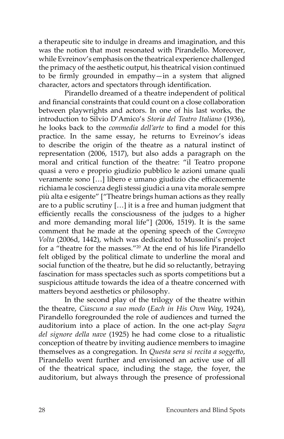a therapeutic site to indulge in dreams and imagination, and this was the notion that most resonated with Pirandello. Moreover, while Evreinov's emphasis on the theatrical experience challenged the primacy of the aesthetic output, his theatrical vision continued to be firmly grounded in empathy—in a system that aligned character, actors and spectators through identification.

Pirandello dreamed of a theatre independent of political and financial constraints that could count on a close collaboration between playwrights and actors. In one of his last works, the introduction to Silvio D'Amico's *Storia del Teatro Italiano* (1936), he looks back to the *commedia dell'arte* to find a model for this practice. In the same essay, he returns to Evreinov's ideas to describe the origin of the theatre as a natural instinct of representation (2006, 1517), but also adds a paragraph on the moral and critical function of the theatre: "il Teatro propone quasi a vero e proprio giudizio pubblico le azioni umane quali veramente sono […] libero e umano giudizio che efficacemente richiama le coscienza degli stessi giudici a una vita morale sempre più alta e esigente" ["Theatre brings human actions as they really are to a public scrutiny […] it is a free and human judgment that efficiently recalls the consciousness of the judges to a higher and more demanding moral life"] (2006, 1519). It is the same comment that he made at the opening speech of the *Convegno Volta* (2006d, 1442), which was dedicated to Mussolini's project for a "theatre for the masses."20 At the end of his life Pirandello felt obliged by the political climate to underline the moral and social function of the theatre, but he did so reluctantly, betraying fascination for mass spectacles such as sports competitions but a suspicious attitude towards the idea of a theatre concerned with matters beyond aesthetics or philosophy.

In the second play of the trilogy of the theatre within the theatre, *Ciascuno a suo modo* (*Each in His Own Way*, 1924), Pirandello foregrounded the role of audiences and turned the auditorium into a place of action. In the one act-play *Sagra del signore della nave* (1925) he had come close to a ritualistic conception of theatre by inviting audience members to imagine themselves as a congregation. In *Questa sera si recita a soggetto*, Pirandello went further and envisioned an active use of all of the theatrical space, including the stage, the foyer, the auditorium, but always through the presence of professional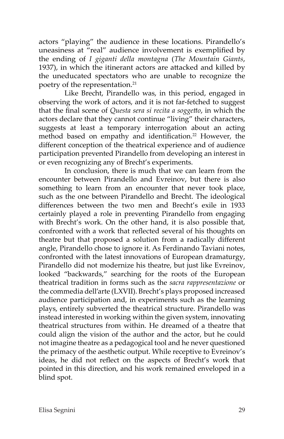actors "playing" the audience in these locations. Pirandello's uneasiness at "real" audience involvement is exemplified by the ending of *I giganti della montagna* (*The Mountain Giants*, 1937), in which the itinerant actors are attacked and killed by the uneducated spectators who are unable to recognize the poetry of the representation.<sup>21</sup>

Like Brecht, Pirandello was, in this period, engaged in observing the work of actors, and it is not far-fetched to suggest that the final scene of *Questa sera si recita a soggetto*, in which the actors declare that they cannot continue "living" their characters, suggests at least a temporary interrogation about an acting method based on empathy and identification.<sup>22</sup> However, the different conception of the theatrical experience and of audience participation prevented Pirandello from developing an interest in or even recognizing any of Brecht's experiments.

In conclusion, there is much that we can learn from the encounter between Pirandello and Evreinov, but there is also something to learn from an encounter that never took place, such as the one between Pirandello and Brecht. The ideological differences between the two men and Brecht's exile in 1933 certainly played a role in preventing Pirandello from engaging with Brecht's work. On the other hand, it is also possible that, confronted with a work that reflected several of his thoughts on theatre but that proposed a solution from a radically different angle, Pirandello chose to ignore it. As Ferdinando Taviani notes, confronted with the latest innovations of European dramaturgy, Pirandello did not modernize his theatre, but just like Evreinov, looked "backwards," searching for the roots of the European theatrical tradition in forms such as the *sacra rappresentazione* or the commedia dell'arte (LXVII). Brecht's plays proposed increased audience participation and, in experiments such as the learning plays, entirely subverted the theatrical structure. Pirandello was instead interested in working within the given system, innovating theatrical structures from within. He dreamed of a theatre that could align the vision of the author and the actor, but he could not imagine theatre as a pedagogical tool and he never questioned the primacy of the aesthetic output. While receptive to Evreinov's ideas, he did not reflect on the aspects of Brecht's work that pointed in this direction, and his work remained enveloped in a blind spot.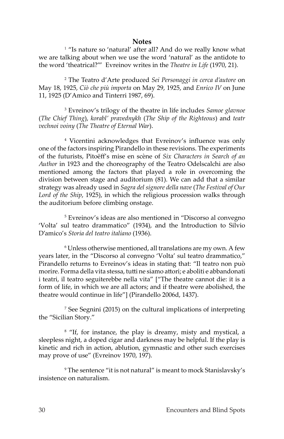#### **Notes**

<sup>1</sup> "Is nature so 'natural' after all? And do we really know what we are talking about when we use the word 'natural' as the antidote to the word 'theatrical?'" Evreinov writes in the *Theatre in Life* (1970, 21).

2 The Teatro d'Arte produced *Sei Personaggi in cerca d'autore* on May 18, 1925, *Ciò che più importa* on May 29, 1925, and *Enrico IV* on June 11, 1925 (D'Amico and Tinterri 1987, 69).

3 Evreinov's trilogy of the theatre in life includes *Samoe glavnoe* (*The Chief Thing*), *korabl' pravednykh* (*The Ship of the Righteous*) and *teatr vechnoi voiny* (*The Theatre of Eternal War*).

4 Vicentini acknowledges that Evreinov's influence was only one of the factors inspiring Pirandello in these revisions. The experiments of the futurists, Pitoëff's mise en scène of *Six Characters in Search of an Author* in 1923 and the choreography of the Teatro Odelscalchi are also mentioned among the factors that played a role in overcoming the division between stage and auditorium (81). We can add that a similar strategy was already used in *Sagra del signore della nave* (*The Festival of Our Lord of the Ship*, 1925), in which the religious procession walks through the auditorium before climbing onstage.

5 Evreinov's ideas are also mentioned in "Discorso al convegno 'Volta' sul teatro drammatico" (1934), and the Introduction to Silvio D'amico's *Storia del teatro italiano* (1936).

<sup>6</sup> Unless otherwise mentioned, all translations are my own. A few years later, in the "Discorso al convegno 'Volta' sul teatro drammatico," Pirandello returns to Evreinov's ideas in stating that: "Il teatro non può morire. Forma della vita stessa, tutti ne siamo attori; e aboliti e abbandonati i teatri, il teatro seguiterebbe nella vita" ["The theatre cannot die: it is a form of life, in which we are all actors; and if theatre were abolished, the theatre would continue in life"] (Pirandello 2006d, 1437).

7 See Segnini (2015) on the cultural implications of interpreting the "Sicilian Story."

<sup>8</sup> "If, for instance, the play is dreamy, misty and mystical, a sleepless night, a doped cigar and darkness may be helpful. If the play is kinetic and rich in action, ablution, gymnastic and other such exercises may prove of use" (Evreinov 1970, 197).

9 The sentence "it is not natural" is meant to mock Stanislavsky's insistence on naturalism.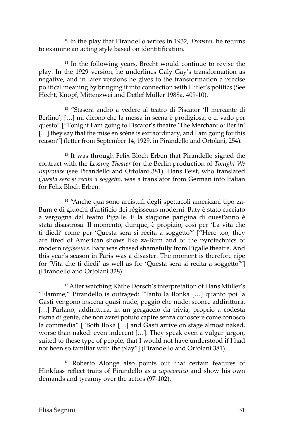10 In the play that Pirandello writes in 1932, *Trovarsi,* he returns to examine an acting style based on identitification.

<sup>11</sup> In the following years, Brecht would continue to revise the play. In the 1929 version, he underlines Galy Gay's transformation as negative, and in later versions he gives to the transformation a precise political meaning by bringing it into connection with Hitler's politics (See Hecht, Knopf, Mittenzwei and Detlef Müller 1988a, 409-10).

12 "Stasera andrò a vedere al teatro di Piscator 'Il mercante di Berlino', […] mi dicono che la messa in scena è prodigiosa, e ci vado per questo" ["Tonight I am going to Piscator's theatre 'The Merchant of Berlin' [...] they say that the mise en scène is extraordinary, and I am going for this reason"] (letter from September 14, 1929, in Pirandello and Ortolani, 254).

<sup>13</sup> It was through Felix Bloch Erben that Pirandello signed the contract with the *Lessing Theater* for the Berlin production of *Tonight We Improvise* (see Pirandello and Ortolani 381). Hans Feist, who translated *Questa sera si recita a soggetto*, was a translator from German into Italian for Felix Bloch Erben.

14 "Anche qua sono arcistufi degli spettacoli americani tipo za-Bum e di giuochi d'artificio dei régisseurs moderni. Baty è stato cacciato a vergogna dal teatro Pigalle. E la stagione parigina di quest'anno è stata disastrosa. Il momento, dunque, è propizio, così per 'La vita che ti diedi' come per 'Questa sera si recita a soggetto'" ["Here too, they are tired of American shows like za-Bum and of the pyrotechnics of modern *régisseurs*. Baty was chased shamefully from Pigalle theatre. And this year's season in Paris was a disaster. The moment is therefore ripe for 'Vita che ti diedi' as well as for 'Questa sera si recita a soggetto'"] (Pirandello and Ortolani 328).

<sup>15</sup> After watching Käthe Dorsch's interpretation of Hans Müller's "Flamme," Pirandello is outraged: "Tanto la Ilonka […] quanto poi la Gasti vengono inscena quasi nude, peggio che nude: sconce addirittura. [...] Parlano, addirittura, in un gergaccio da trivia, proprio a codesta risma di gente, che non avrei potuto capire senza conoscere come conosco la commedia" ["Both Iloka […] and Gasti arrive on stage almost naked, worse than naked: even indecent […]. They speak even a vulgar jargon, suited to these type of people, that I would not have understood if I had not been so familiar with the play"] (Pirandello and Ortolani 381).

16 Roberto Alonge also points out that certain features of Hinkfuss reflect traits of Pirandello as a *capocomico* and show his own demands and tyranny over the actors (97-102).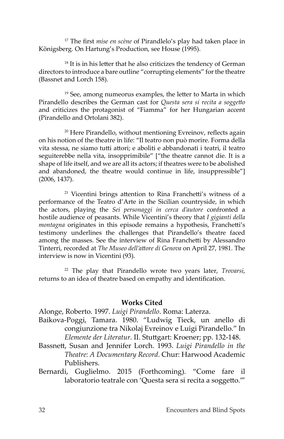<sup>17</sup> The first *mise en scène* of Pirandlelo's play had taken place in Königsberg. On Hartung's Production, see House (1995).

<sup>18</sup> It is in his letter that he also criticizes the tendency of German directors to introduce a bare outline "corrupting elements" for the theatre (Bassnet and Lorch 158).

 $19$  See, among numeorus examples, the letter to Marta in which Pirandello describes the German cast for *Questa sera si recita a soggetto* and criticizes the protagonist of "Fiamma" for her Hungarian accent (Pirandello and Ortolani 382).

<sup>20</sup> Here Pirandello, without mentioning Evreinov, reflects again on his notion of the theatre in life: "Il teatro non può morire. Forma della vita stessa, ne siamo tutti attori; e aboliti e abbandonati i teatri, il teatro seguiterebbe nella vita, insopprimibile" ["the theatre cannot die. It is a shape of life itself, and we are all its actors; if theatres were to be abolished and abandoned, the theatre would continue in life, insuppressible"] (2006, 1437).

<sup>21</sup> Vicentini brings attention to Rina Franchetti's witness of a performance of the Teatro d'Arte in the Sicilian countryside, in which the actors, playing the *Sei personaggi in cerca d'autore* confronted a hostile audience of peasants. While Vicentini's theory that *I gigianti della montagna* originates in this episode remains a hypothesis, Franchetti's testimony underlines the challenges that Pirandello's theatre faced among the masses. See the interview of Rina Franchetti by Alessandro Tinterri, recorded at *The Museo dell'attore di Genova* on April 27, 1981. The interview is now in Vicentini (93).

22 The play that Pirandello wrote two years later, *Trovarsi*, returns to an idea of theatre based on empathy and identification.

### **Works Cited**

Alonge, Roberto. 1997. *Luigi Pirandello*. Roma: Laterza.

- Baikova-Poggi, Tamara. 1980. "Ludwig Tieck, un anello di congiunzione tra Nikolaj Evreinov e Luigi Pirandello." In *Elemente der Literatur*. II. Stuttgart: Kroener; pp. 132-148.
- Bassnett, Susan and Jennifer Lorch. 1993. *Luigi Pirandello in the Theatre: A Documentary Record*. Chur: Harwood Academic Publishers.
- Bernardi, Guglielmo. 2015 (Forthcoming). "Come fare il laboratorio teatrale con 'Questa sera si recita a soggetto.'"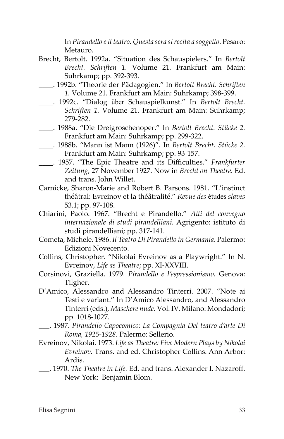In *Pirandello e il teatro. Questa sera si recita a soggetto*. Pesaro: Metauro.

- Brecht, Bertolt. 1992a. "Situation des Schauspielers." In *Bertolt Brecht. Schriften 1.* Volume 21*.* Frankfurt am Main: Suhrkamp; pp. 392-393.
- \_\_\_\_. 1992b. "Theorie der Pädagogien." In *Bertolt Brecht. Schriften 1.* Volume 21*.* Frankfurt am Main: Suhrkamp; 398-399.
- \_\_\_\_. 1992c. "Dialog über Schauspielkunst." In *Bertolt Brecht. Schriften 1.* Volume 21*.* Frankfurt am Main: Suhrkamp; 279-282.
- \_\_\_\_. 1988a. "Die Dreigroschenoper." In *Bertolt Brecht. Stücke 2.* Frankfurt am Main: Suhrkamp; pp. 299-322.
- \_\_\_\_. 1988b. "Mann ist Mann (1926)". In *Bertolt Brecht. Stücke 2.* Frankfurt am Main: Suhrkamp; pp. 93-157.
- \_\_\_\_. 1957. "The Epic Theatre and its Difficulties." *Frankfurter Zeitung*, 27 November 1927. Now in *Brecht on Theatre.* Ed. and trans. John Willet.
- Carnicke, Sharon-Marie and Robert B. Parsons. 1981. "L'instinct théâtral: Evreinov et la théâtralité." *Revue des* études *slaves* 53.1; pp. 97-108.
- Chiarini, Paolo. 1967. "Brecht e Pirandello." *Atti del convegno internazionale di studi pirandelliani.* Agrigento: istituto di studi pirandelliani*;* pp. 317-141.
- Cometa, Michele. 1986. *Il Teatro Di Pirandello in Germania*. Palermo: Edizioni Novecento.
- Collins, Christopher. "Nikolai Evreinov as a Playwright." In N. Evreinov, *Life as Theatre*; pp. XI-XXVIII.
- Corsinovi, Graziella. 1979. *Pirandello e l'espressionismo.* Genova: Tilgher.
- D'Amico, Alessandro and Alessandro Tinterri. 2007. "Note ai Testi e variant." In D'Amico Alessandro, and Alessandro Tinterri (eds.), *Maschere nude.* Vol. IV. Milano: Mondadori; pp. 1018-1027.
- \_\_\_. 1987. *Pirandello Capocomico: La Compagnia Del teatro d'arte Di Roma, 1925-1928*. Palermo: Sellerio.
- Evreinov, Nikolai. 1973. *Life as Theatre: Five Modern Plays by Nikolai Evreinov*. Trans. and ed. Christopher Collins. Ann Arbor: Ardis.
- \_\_\_. 1970. *The Theatre in Life.* Ed. and trans. Alexander I. Nazaroff. New York: Benjamin Blom.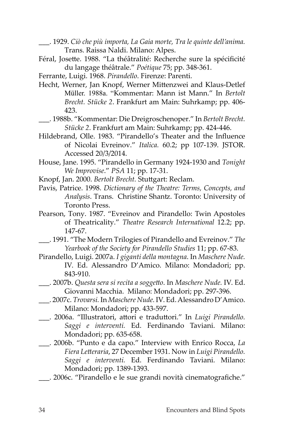- \_\_\_. 1929. *Ciò che più importa, La Gaia morte, Tra le quinte dell'anima.* Trans. Raissa Naldi. Milano: Alpes.
- Féral, Josette. 1988. "La théâtralité: Recherche sure la spécificité du langage théâtrale." *Poétique* 75; pp. 348-361.
- Ferrante, Luigi. 1968. *Pirandello*. Firenze: Parenti.
- Hecht, Werner, Jan Knopf, Werner Mittenzwei and Klaus-Detlef Müller. 1988a. "Kommentar: Mann ist Mann." In *Bertolt Brecht. Stücke 2*. Frankfurt am Main: Suhrkamp; pp. 406- 423.
- \_\_\_. 1988b. "Kommentar: Die Dreigroschenoper." In *Bertolt Brecht. Stücke 2*. Frankfurt am Main: Suhrkamp; pp. 424-446.
- Hildebrand, Olle. 1983. "Pirandello's Theater and the Influence of Nicolai Evreinov." *Italica.* 60.2; pp 107-139. JSTOR. Accessed 20/3/2014.
- House, Jane. 1995. "Pirandello in Germany 1924-1930 and *Tonight We Improvise*." *PSA* 11; pp. 17-31.
- Knopf, Jan. 2000. *Bertolt Brecht.* Stuttgart: Reclam.
- Pavis, Patrice. 1998. *Dictionary of the Theatre: Terms, Concepts, and Analysis*. Trans. Christine Shantz. Toronto: University of Toronto Press.
- Pearson, Tony. 1987. "Evreinov and Pirandello: Twin Apostoles of Theatricality." *Theatre Research International* 12.2; pp. 147-67.
- \_\_\_. 1991. "The Modern Trilogies of Pirandello and Evreinov." *The Yearbook of the Society for Pirandello Studies* 11; pp. 67-83.
- Pirandello, Luigi. 2007a. *I giganti della montagna*. In *Maschere Nude.* IV. Ed. Alessandro D'Amico. Milano: Mondadori; pp. 843-910.
- \_\_\_. 2007b. *Questa sera si recita a soggetto*. In *Maschere Nude.* IV. Ed. Giovanni Macchia. Milano: Mondadori; pp. 297-396.
- \_\_\_. 2007c. *Trovarsi.* In *Maschere Nude.* IV. Ed. Alessandro D'Amico. Milano: Mondadori; pp. 433-597.
- \_\_\_. 2006a. "Illustratori, attori e traduttori." In *Luigi Pirandello. Saggi e interventi.* Ed. Ferdinando Taviani. Milano: Mondadori; pp. 635-658.
- \_\_\_. 2006b. "Punto e da capo." Interview with Enrico Rocca, *La Fiera Letteraria*, 27 December 1931. Now in *Luigi Pirandello. Saggi e interventi.* Ed. Ferdinando Taviani. Milano: Mondadori; pp. 1389-1393.
- \_\_\_. 2006c. "Pirandello e le sue grandi novità cinematografiche."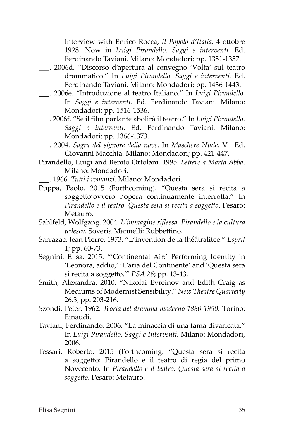Interview with Enrico Rocca, *Il Popolo d'Italia*, 4 ottobre 1928. Now in *Luigi Pirandello. Saggi e interventi.* Ed. Ferdinando Taviani. Milano: Mondadori; pp. 1351-1357.

- \_\_\_. 2006d. "Discorso d'apertura al convegno 'Volta' sul teatro drammatico." In *Luigi Pirandello. Saggi e interventi.* Ed. Ferdinando Taviani. Milano: Mondadori; pp. 1436-1443.
- \_\_\_. 2006e. "Introduzione al teatro Italiano." In *Luigi Pirandello.*  In *Saggi e interventi.* Ed. Ferdinando Taviani. Milano: Mondadori; pp. 1516-1536.
- \_\_\_. 2006f. "Se il film parlante abolirà il teatro." In *Luigi Pirandello. Saggi e interventi.* Ed. Ferdinando Taviani. Milano: Mondadori; pp. 1366-1373.
- \_\_\_. 2004. *Sagra del signore della nave*. In *Maschere Nude.* V. Ed. Giovanni Macchia. Milano: Mondadori; pp. 421-447.
- Pirandello, Luigi and Benito Ortolani. 1995. *Lettere a Marta Abba*. Milano: Mondadori.
	- \_\_\_. 1966. *Tutti i romanzi.* Milano: Mondadori.
- Puppa, Paolo. 2015 (Forthcoming). "Questa sera si recita a soggetto'ovvero l'opera continuamente interrotta." In *Pirandello e il teatro. Questa sera si recita a soggetto*. Pesaro: Metauro.
- Sahlfeld, Wolfgang. 2004. *L'immagine riflessa. Pirandello e la cultura tedesca*. Soveria Mannelli: Rubbettino.
- Sarrazac, Jean Pierre. 1973. "L'invention de la théâtralitee." *Esprit* 1; pp. 60-73.
- Segnini, Elisa. 2015. "'Continental Air:' Performing Identity in 'Leonora, addio,' 'L'aria del Continente' and 'Questa sera si recita a soggetto.'" *PSA 26*; pp. 13-43.
- Smith, Alexandra. 2010. "Nikolai Evreinov and Edith Craig as Mediums of Modernist Sensibility." *New Theatre Quarterly* 26.3; pp. 203-216.
- Szondi, Peter. 1962. *Teoria del dramma moderno 1880-1950*. Torino: Einaudi.
- Taviani, Ferdinando. 2006. "La minaccia di una fama divaricata." In *Luigi Pirandello. Saggi e Interventi.* Milano: Mondadori, 2006.
- Tessari, Roberto. 2015 (Forthcoming. "Questa sera si recita a soggetto: Pirandello e il teatro di regia del primo Novecento. In *Pirandello e il teatro. Questa sera si recita a soggetto*. Pesaro: Metauro.